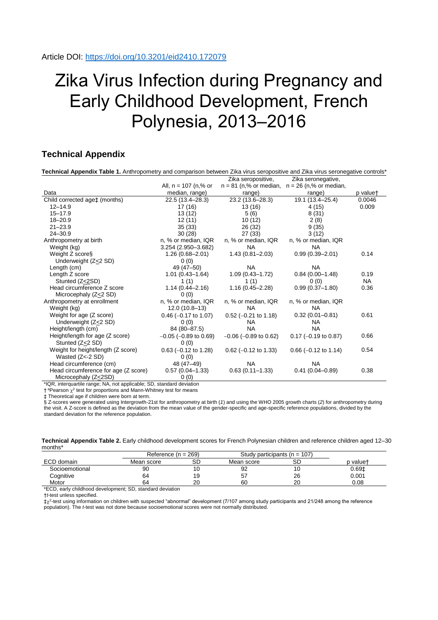## Zika Virus Infection during Pregnancy and Early Childhood Development, French Polynesia, 2013–2016

## **Technical Appendix**

| Technical Appendix Table 1. Anthropometry and comparison between Zika virus seropositive and Zika virus seronegative controls* |                            |                            |                                                   |          |
|--------------------------------------------------------------------------------------------------------------------------------|----------------------------|----------------------------|---------------------------------------------------|----------|
|                                                                                                                                |                            | Zika seropositive,         | Zika seronegative,                                |          |
|                                                                                                                                | All, $n = 107$ (n,% or     |                            | $n = 81$ (n,% or median, $n = 26$ (n,% or median, |          |
| Data                                                                                                                           | median, range)             | range)                     | range)                                            | p valuet |
| Child corrected age‡ (months)                                                                                                  | 22.5 (13.4–28.3)           | 23.2 (13.6–28.3)           | 19.1 (13.4-25.4)                                  | 0.0046   |
| $12 - 14.9$                                                                                                                    | 17 (16)                    | 13 (16)                    | 4 (15)                                            | 0.009    |
| $15 - 17.9$                                                                                                                    | 13 (12)                    | 5(6)                       | 8(31)                                             |          |
| $18 - 20.9$                                                                                                                    | 12 (11)                    | 10(12)                     | 2(8)                                              |          |
| $21 - 23.9$                                                                                                                    | 35(33)                     | 26 (32)                    | 9(35)                                             |          |
| $24 - 30.9$                                                                                                                    | 30(28)                     | 27 (33)                    | 3(12)                                             |          |
| Anthropometry at birth                                                                                                         | n, % or median, IQR        | n, % or median, IQR        | n, % or median, IQR                               |          |
| Weight (kg)                                                                                                                    | 3.254 (2.950-3.682)        | <b>NA</b>                  | NA.                                               |          |
| Weight Z scores                                                                                                                | $1.26(0.68 - 2.01)$        | $1.43(0.81 - 2.03)$        | $0.99(0.39 - 2.01)$                               | 0.14     |
| Underweight (Z<2 SD)                                                                                                           | 0(0)                       |                            |                                                   |          |
| Length (cm)                                                                                                                    | 49 (47-50)                 | <b>NA</b>                  | <b>NA</b>                                         |          |
| Length Z score                                                                                                                 | $1.01(0.43 - 1.64)$        | $1.09(0.43 - 1.72)$        | $0.84(0.00-1.48)$                                 | 0.19     |
| Stunted (Z<2SD)                                                                                                                | 1(1)                       | 1(1)                       | 0(0)                                              | NA.      |
| Head circumference Z score                                                                                                     | $1.14(0.44 - 2.16)$        | $1.16(0.45 - 2.28)$        | $0.99(0.37-1.80)$                                 | 0.36     |
| Microcephaly (Z<2 SD)                                                                                                          | 0(0)                       |                            |                                                   |          |
| Anthropometry at enrollment                                                                                                    | n, % or median, IQR        | n, % or median, IQR        | n, % or median, IQR                               |          |
| Weight (kg)                                                                                                                    | $12.0(10.8-13)$            | <b>NA</b>                  | NA.                                               |          |
| Weight for age (Z score)                                                                                                       | $0.46$ (-0.17 to 1.07)     | $0.52$ (-0.21 to 1.18)     | $0.32(0.01 - 0.81)$                               | 0.61     |
| Underweight (Z<2 SD)                                                                                                           | 0(0)                       | NA.                        | NA.                                               |          |
| Height/length (cm)                                                                                                             | 84 (80-87.5)               | <b>NA</b>                  | <b>NA</b>                                         |          |
| Height/length for age (Z score)                                                                                                | $-0.05$ ( $-0.89$ to 0.69) | $-0.06$ ( $-0.89$ to 0.62) | $0.17$ (-0.19 to 0.87)                            | 0.66     |
| Stunted (Z<2 SD)                                                                                                               | 0(0)                       |                            |                                                   |          |
| Weight for height/length (Z score)                                                                                             | $0.63$ (-0.12 to 1.28)     | $0.62$ (-0.12 to 1.33)     | $0.66$ (-0.12 to 1.14)                            | 0.54     |
| Wasted (Z<-2 SD)                                                                                                               | 0(0)                       |                            |                                                   |          |
| Head circumference (cm)                                                                                                        | 48 (47–49)                 | <b>NA</b>                  | <b>NA</b>                                         |          |
| Head circumference for age (Z score)                                                                                           | $0.57(0.04-1.33)$          | $0.63(0.11 - 1.33)$        | $0.41(0.04 - 0.89)$                               | 0.38     |
| Microcephaly (Z<2SD)                                                                                                           | 0(0)                       |                            |                                                   |          |

\*IQR, interquartile range; NA, not applicable; SD, standard deviation

 $\dagger$ <sup>a</sup>Pearson  $\chi^2$  test for proportions and Mann-Whitney test for means

‡ Theoretical age if children were born at term.

§ Z-scores were generated using Intergrowth-21st for anthropometry at birth (*1*) and using the WHO 2005 growth charts (*2*) for anthropometry during the visit. A Z-score is defined as the deviation from the mean value of the gender-specific and age-specific reference populations, divided by the standard deviation for the reference population.

|         | Technical Appendix Table 2. Early childhood development scores for French Polynesian children and reference children aged 12-30 |  |  |
|---------|---------------------------------------------------------------------------------------------------------------------------------|--|--|
| months* |                                                                                                                                 |  |  |

|                                                           | Reference $(n = 269)$ |    | Study participants ( $n = 107$ ) |    |                   |  |
|-----------------------------------------------------------|-----------------------|----|----------------------------------|----|-------------------|--|
| ECD domain                                                | Mean score            | SD | Mean score                       | SС | p value†          |  |
| Socioemotional                                            | 90                    | 10 | 92                               | 10 | 0.69 <sub>1</sub> |  |
| Cognitive                                                 | 64                    | 19 | 57                               | 26 | 0.001             |  |
| Motor                                                     | 64                    | 20 | 60                               | 20 | 0.08              |  |
| *ECD, early childhood development; SD, standard deviation |                       |    |                                  |    |                   |  |

†*t*-test unless specified.

 $\ddagger \chi^2$ -test using information on children with suspected "abnormal" development (7/107 among study participants and 21/248 among the reference population). The *t*-test was not done because socioemotional scores were not normally distributed.